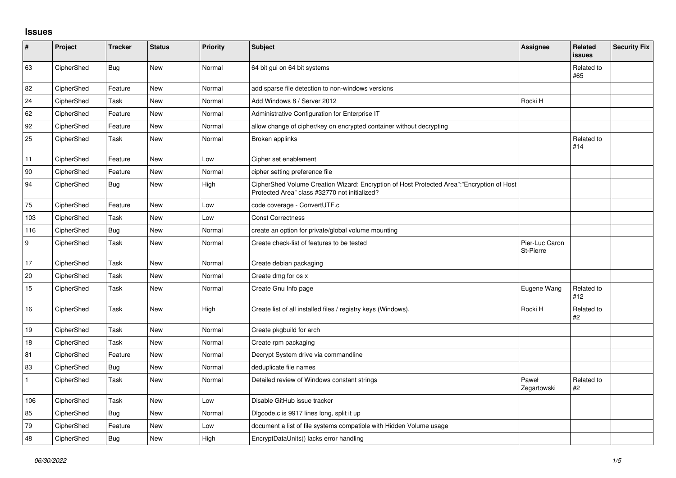## **Issues**

| $\sharp$     | Project    | <b>Tracker</b> | <b>Status</b> | Priority | <b>Subject</b>                                                                                                                             | Assignee                    | Related<br><b>issues</b> | <b>Security Fix</b> |
|--------------|------------|----------------|---------------|----------|--------------------------------------------------------------------------------------------------------------------------------------------|-----------------------------|--------------------------|---------------------|
| 63           | CipherShed | <b>Bug</b>     | <b>New</b>    | Normal   | 64 bit gui on 64 bit systems                                                                                                               |                             | Related to<br>#65        |                     |
| 82           | CipherShed | Feature        | <b>New</b>    | Normal   | add sparse file detection to non-windows versions                                                                                          |                             |                          |                     |
| 24           | CipherShed | Task           | <b>New</b>    | Normal   | Add Windows 8 / Server 2012                                                                                                                | Rocki H                     |                          |                     |
| 62           | CipherShed | Feature        | New           | Normal   | Administrative Configuration for Enterprise IT                                                                                             |                             |                          |                     |
| 92           | CipherShed | Feature        | <b>New</b>    | Normal   | allow change of cipher/key on encrypted container without decrypting                                                                       |                             |                          |                     |
| 25           | CipherShed | Task           | New           | Normal   | Broken applinks                                                                                                                            |                             | Related to<br>#14        |                     |
| 11           | CipherShed | Feature        | New           | Low      | Cipher set enablement                                                                                                                      |                             |                          |                     |
| 90           | CipherShed | Feature        | <b>New</b>    | Normal   | cipher setting preference file                                                                                                             |                             |                          |                     |
| 94           | CipherShed | <b>Bug</b>     | New           | High     | CipherShed Volume Creation Wizard: Encryption of Host Protected Area":"Encryption of Host<br>Protected Area" class #32770 not initialized? |                             |                          |                     |
| $75\,$       | CipherShed | Feature        | <b>New</b>    | Low      | code coverage - ConvertUTF.c                                                                                                               |                             |                          |                     |
| 103          | CipherShed | Task           | <b>New</b>    | Low      | <b>Const Correctness</b>                                                                                                                   |                             |                          |                     |
| 116          | CipherShed | <b>Bug</b>     | New           | Normal   | create an option for private/global volume mounting                                                                                        |                             |                          |                     |
| 9            | CipherShed | Task           | <b>New</b>    | Normal   | Create check-list of features to be tested                                                                                                 | Pier-Luc Caron<br>St-Pierre |                          |                     |
| 17           | CipherShed | Task           | <b>New</b>    | Normal   | Create debian packaging                                                                                                                    |                             |                          |                     |
| 20           | CipherShed | Task           | <b>New</b>    | Normal   | Create dmg for os x                                                                                                                        |                             |                          |                     |
| 15           | CipherShed | Task           | New           | Normal   | Create Gnu Info page                                                                                                                       | Eugene Wang                 | Related to<br>#12        |                     |
| 16           | CipherShed | Task           | <b>New</b>    | High     | Create list of all installed files / registry keys (Windows).                                                                              | Rocki H                     | Related to<br>#2         |                     |
| $19$         | CipherShed | Task           | <b>New</b>    | Normal   | Create pkgbuild for arch                                                                                                                   |                             |                          |                     |
| 18           | CipherShed | Task           | <b>New</b>    | Normal   | Create rpm packaging                                                                                                                       |                             |                          |                     |
| 81           | CipherShed | Feature        | <b>New</b>    | Normal   | Decrypt System drive via commandline                                                                                                       |                             |                          |                     |
| 83           | CipherShed | Bug            | <b>New</b>    | Normal   | deduplicate file names                                                                                                                     |                             |                          |                     |
| $\mathbf{1}$ | CipherShed | Task           | <b>New</b>    | Normal   | Detailed review of Windows constant strings                                                                                                | Paweł<br>Zegartowski        | Related to<br>$\#2$      |                     |
| 106          | CipherShed | Task           | <b>New</b>    | Low      | Disable GitHub issue tracker                                                                                                               |                             |                          |                     |
| 85           | CipherShed | <b>Bug</b>     | New           | Normal   | Digcode.c is 9917 lines long, split it up                                                                                                  |                             |                          |                     |
| 79           | CipherShed | Feature        | New           | Low      | document a list of file systems compatible with Hidden Volume usage                                                                        |                             |                          |                     |
| 48           | CipherShed | Bug            | <b>New</b>    | High     | EncryptDataUnits() lacks error handling                                                                                                    |                             |                          |                     |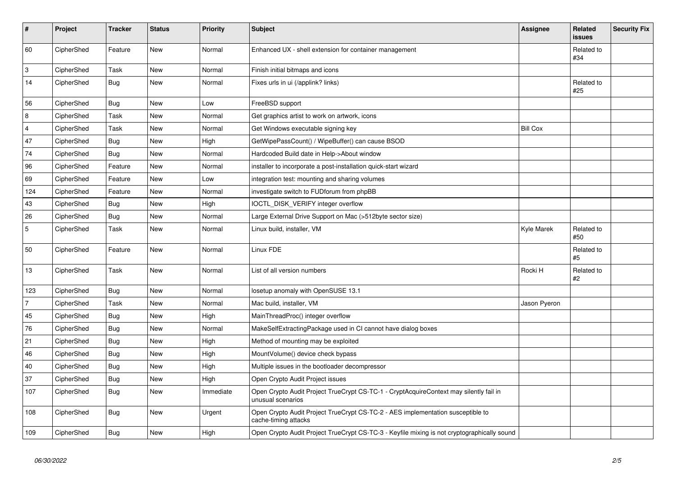| $\vert$ #      | Project    | <b>Tracker</b> | <b>Status</b> | <b>Priority</b> | <b>Subject</b>                                                                                              | <b>Assignee</b> | Related<br><b>issues</b> | <b>Security Fix</b> |
|----------------|------------|----------------|---------------|-----------------|-------------------------------------------------------------------------------------------------------------|-----------------|--------------------------|---------------------|
| 60             | CipherShed | Feature        | <b>New</b>    | Normal          | Enhanced UX - shell extension for container management                                                      |                 | Related to<br>#34        |                     |
| 3              | CipherShed | Task           | <b>New</b>    | Normal          | Finish initial bitmaps and icons                                                                            |                 |                          |                     |
| 14             | CipherShed | <b>Bug</b>     | <b>New</b>    | Normal          | Fixes urls in ui (/applink? links)                                                                          |                 | Related to<br>#25        |                     |
| 56             | CipherShed | <b>Bug</b>     | <b>New</b>    | Low             | FreeBSD support                                                                                             |                 |                          |                     |
| 8              | CipherShed | Task           | <b>New</b>    | Normal          | Get graphics artist to work on artwork, icons                                                               |                 |                          |                     |
| $\overline{4}$ | CipherShed | Task           | <b>New</b>    | Normal          | Get Windows executable signing key                                                                          | <b>Bill Cox</b> |                          |                     |
| 47             | CipherShed | <b>Bug</b>     | <b>New</b>    | High            | GetWipePassCount() / WipeBuffer() can cause BSOD                                                            |                 |                          |                     |
| 74             | CipherShed | <b>Bug</b>     | <b>New</b>    | Normal          | Hardcoded Build date in Help->About window                                                                  |                 |                          |                     |
| 96             | CipherShed | Feature        | <b>New</b>    | Normal          | installer to incorporate a post-installation quick-start wizard                                             |                 |                          |                     |
| 69             | CipherShed | Feature        | <b>New</b>    | Low             | integration test: mounting and sharing volumes                                                              |                 |                          |                     |
| 124            | CipherShed | Feature        | <b>New</b>    | Normal          | investigate switch to FUDforum from phpBB                                                                   |                 |                          |                     |
| 43             | CipherShed | <b>Bug</b>     | New           | High            | IOCTL_DISK_VERIFY integer overflow                                                                          |                 |                          |                     |
| 26             | CipherShed | <b>Bug</b>     | <b>New</b>    | Normal          | Large External Drive Support on Mac (>512byte sector size)                                                  |                 |                          |                     |
| $\sqrt{5}$     | CipherShed | Task           | <b>New</b>    | Normal          | Linux build, installer, VM                                                                                  | Kyle Marek      | Related to<br>#50        |                     |
| 50             | CipherShed | Feature        | <b>New</b>    | Normal          | Linux FDE                                                                                                   |                 | Related to<br>#5         |                     |
| 13             | CipherShed | Task           | New           | Normal          | List of all version numbers                                                                                 | Rocki H         | Related to<br>#2         |                     |
| 123            | CipherShed | <b>Bug</b>     | New           | Normal          | losetup anomaly with OpenSUSE 13.1                                                                          |                 |                          |                     |
| $\overline{7}$ | CipherShed | Task           | New           | Normal          | Mac build, installer, VM                                                                                    | Jason Pyeron    |                          |                     |
| 45             | CipherShed | <b>Bug</b>     | New           | High            | MainThreadProc() integer overflow                                                                           |                 |                          |                     |
| 76             | CipherShed | <b>Bug</b>     | New           | Normal          | MakeSelfExtractingPackage used in CI cannot have dialog boxes                                               |                 |                          |                     |
| 21             | CipherShed | Bug            | New           | High            | Method of mounting may be exploited                                                                         |                 |                          |                     |
| 46             | CipherShed | Bug            | <b>New</b>    | High            | MountVolume() device check bypass                                                                           |                 |                          |                     |
| 40             | CipherShed | Bug            | New           | High            | Multiple issues in the bootloader decompressor                                                              |                 |                          |                     |
| 37             | CipherShed | Bug            | <b>New</b>    | High            | Open Crypto Audit Project issues                                                                            |                 |                          |                     |
| 107            | CipherShed | Bug            | New           | Immediate       | Open Crypto Audit Project TrueCrypt CS-TC-1 - CryptAcquireContext may silently fail in<br>unusual scenarios |                 |                          |                     |
| 108            | CipherShed | <b>Bug</b>     | New           | Urgent          | Open Crypto Audit Project TrueCrypt CS-TC-2 - AES implementation susceptible to<br>cache-timing attacks     |                 |                          |                     |
| 109            | CipherShed | <b>Bug</b>     | New           | High            | Open Crypto Audit Project TrueCrypt CS-TC-3 - Keyfile mixing is not cryptographically sound                 |                 |                          |                     |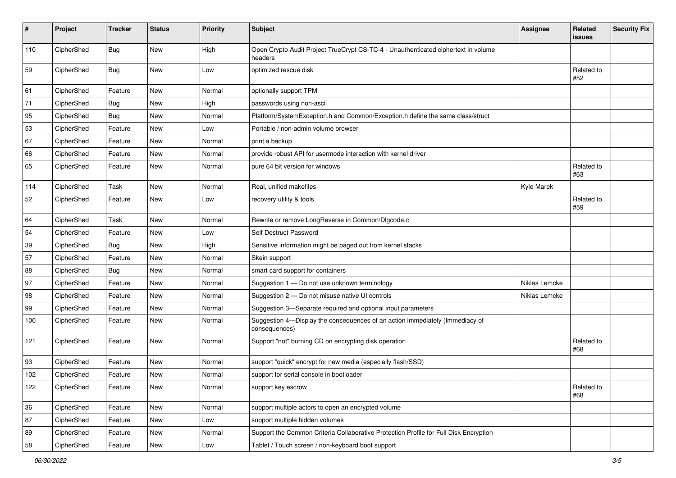| #   | Project    | <b>Tracker</b> | <b>Status</b> | Priority | <b>Subject</b>                                                                                | <b>Assignee</b> | <b>Related</b><br>issues | <b>Security Fix</b> |
|-----|------------|----------------|---------------|----------|-----------------------------------------------------------------------------------------------|-----------------|--------------------------|---------------------|
| 110 | CipherShed | Bug            | New           | High     | Open Crypto Audit Project TrueCrypt CS-TC-4 - Unauthenticated ciphertext in volume<br>headers |                 |                          |                     |
| 59  | CipherShed | <b>Bug</b>     | <b>New</b>    | Low      | optimized rescue disk                                                                         |                 | Related to<br>#52        |                     |
| 61  | CipherShed | Feature        | New           | Normal   | optionally support TPM                                                                        |                 |                          |                     |
| 71  | CipherShed | <b>Bug</b>     | <b>New</b>    | High     | passwords using non-ascii                                                                     |                 |                          |                     |
| 95  | CipherShed | <b>Bug</b>     | New           | Normal   | Platform/SystemException.h and Common/Exception.h define the same class/struct                |                 |                          |                     |
| 53  | CipherShed | Feature        | <b>New</b>    | Low      | Portable / non-admin volume browser                                                           |                 |                          |                     |
| 67  | CipherShed | Feature        | New           | Normal   | print a backup                                                                                |                 |                          |                     |
| 66  | CipherShed | Feature        | New           | Normal   | provide robust API for usermode interaction with kernel driver                                |                 |                          |                     |
| 65  | CipherShed | Feature        | New           | Normal   | pure 64 bit version for windows                                                               |                 | Related to<br>#63        |                     |
| 114 | CipherShed | Task           | New           | Normal   | Real, unified makefiles                                                                       | Kyle Marek      |                          |                     |
| 52  | CipherShed | Feature        | <b>New</b>    | Low      | recovery utility & tools                                                                      |                 | Related to<br>#59        |                     |
| 64  | CipherShed | Task           | <b>New</b>    | Normal   | Rewrite or remove LongReverse in Common/Dlgcode.c                                             |                 |                          |                     |
| 54  | CipherShed | Feature        | New           | Low      | Self Destruct Password                                                                        |                 |                          |                     |
| 39  | CipherShed | <b>Bug</b>     | New           | High     | Sensitive information might be paged out from kernel stacks                                   |                 |                          |                     |
| 57  | CipherShed | Feature        | New           | Normal   | Skein support                                                                                 |                 |                          |                     |
| 88  | CipherShed | <b>Bug</b>     | New           | Normal   | smart card support for containers                                                             |                 |                          |                     |
| 97  | CipherShed | Feature        | New           | Normal   | Suggestion 1 - Do not use unknown terminology                                                 | Niklas Lemcke   |                          |                     |
| 98  | CipherShed | Feature        | <b>New</b>    | Normal   | Suggestion 2 - Do not misuse native UI controls                                               | Niklas Lemcke   |                          |                     |
| 99  | CipherShed | Feature        | New           | Normal   | Suggestion 3-Separate required and optional input parameters                                  |                 |                          |                     |
| 100 | CipherShed | Feature        | New           | Normal   | Suggestion 4-Display the consequences of an action immediately (Immediacy of<br>consequences) |                 |                          |                     |
| 121 | CipherShed | Feature        | New           | Normal   | Support "not" burning CD on encrypting disk operation                                         |                 | Related to<br>#68        |                     |
| 93  | CipherShed | Feature        | New           | Normal   | support "quick" encrypt for new media (especially flash/SSD)                                  |                 |                          |                     |
| 102 | CipherShed | Feature        | New           | Normal   | support for serial console in bootloader                                                      |                 |                          |                     |
| 122 | CipherShed | Feature        | New           | Normal   | support key escrow                                                                            |                 | Related to<br>#68        |                     |
| 36  | CipherShed | Feature        | New           | Normal   | support multiple actors to open an encrypted volume                                           |                 |                          |                     |
| 87  | CipherShed | Feature        | New           | Low      | support multiple hidden volumes                                                               |                 |                          |                     |
| 89  | CipherShed | Feature        | New           | Normal   | Support the Common Criteria Collaborative Protection Profile for Full Disk Encryption         |                 |                          |                     |
| 58  | CipherShed | Feature        | New           | Low      | Tablet / Touch screen / non-keyboard boot support                                             |                 |                          |                     |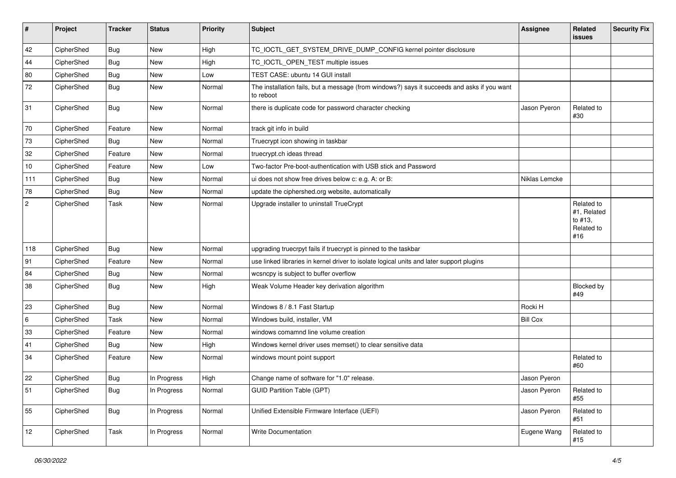| #              | Project    | <b>Tracker</b> | <b>Status</b> | <b>Priority</b> | <b>Subject</b>                                                                                           | <b>Assignee</b> | Related<br>issues                                         | <b>Security Fix</b> |
|----------------|------------|----------------|---------------|-----------------|----------------------------------------------------------------------------------------------------------|-----------------|-----------------------------------------------------------|---------------------|
| 42             | CipherShed | <b>Bug</b>     | New           | High            | TC_IOCTL_GET_SYSTEM_DRIVE_DUMP_CONFIG kernel pointer disclosure                                          |                 |                                                           |                     |
| 44             | CipherShed | <b>Bug</b>     | New           | High            | TC_IOCTL_OPEN_TEST multiple issues                                                                       |                 |                                                           |                     |
| 80             | CipherShed | Bug            | <b>New</b>    | Low             | TEST CASE: ubuntu 14 GUI install                                                                         |                 |                                                           |                     |
| 72             | CipherShed | <b>Bug</b>     | New           | Normal          | The installation fails, but a message (from windows?) says it succeeds and asks if you want<br>to reboot |                 |                                                           |                     |
| 31             | CipherShed | <b>Bug</b>     | New           | Normal          | there is duplicate code for password character checking                                                  | Jason Pyeron    | Related to<br>#30                                         |                     |
| 70             | CipherShed | Feature        | New           | Normal          | track git info in build                                                                                  |                 |                                                           |                     |
| 73             | CipherShed | <b>Bug</b>     | New           | Normal          | Truecrypt icon showing in taskbar                                                                        |                 |                                                           |                     |
| 32             | CipherShed | Feature        | New           | Normal          | truecrypt.ch ideas thread                                                                                |                 |                                                           |                     |
| 10             | CipherShed | Feature        | <b>New</b>    | Low             | Two-factor Pre-boot-authentication with USB stick and Password                                           |                 |                                                           |                     |
| 111            | CipherShed | <b>Bug</b>     | <b>New</b>    | Normal          | ui does not show free drives below c: e.g. A: or B:                                                      | Niklas Lemcke   |                                                           |                     |
| 78             | CipherShed | <b>Bug</b>     | New           | Normal          | update the ciphershed org website, automatically                                                         |                 |                                                           |                     |
| $\overline{2}$ | CipherShed | Task           | New           | Normal          | Upgrade installer to uninstall TrueCrypt                                                                 |                 | Related to<br>#1, Related<br>to #13,<br>Related to<br>#16 |                     |
| 118            | CipherShed | <b>Bug</b>     | <b>New</b>    | Normal          | upgrading truecrpyt fails if truecrypt is pinned to the taskbar                                          |                 |                                                           |                     |
| 91             | CipherShed | Feature        | <b>New</b>    | Normal          | use linked libraries in kernel driver to isolate logical units and later support plugins                 |                 |                                                           |                     |
| 84             | CipherShed | <b>Bug</b>     | New           | Normal          | wcsncpy is subject to buffer overflow                                                                    |                 |                                                           |                     |
| 38             | CipherShed | Bug            | New           | High            | Weak Volume Header key derivation algorithm                                                              |                 | Blocked by<br>#49                                         |                     |
| 23             | CipherShed | <b>Bug</b>     | New           | Normal          | Windows 8 / 8.1 Fast Startup                                                                             | Rocki H         |                                                           |                     |
| 6              | CipherShed | Task           | New           | Normal          | Windows build, installer, VM                                                                             | <b>Bill Cox</b> |                                                           |                     |
| 33             | CipherShed | Feature        | New           | Normal          | windows comamnd line volume creation                                                                     |                 |                                                           |                     |
| 41             | CipherShed | <b>Bug</b>     | <b>New</b>    | High            | Windows kernel driver uses memset() to clear sensitive data                                              |                 |                                                           |                     |
| 34             | CipherShed | Feature        | New           | Normal          | windows mount point support                                                                              |                 | Related to<br>#60                                         |                     |
| 22             | CipherShed | Bug            | In Progress   | High            | Change name of software for "1.0" release.                                                               | Jason Pyeron    |                                                           |                     |
| 51             | CipherShed | <b>Bug</b>     | In Progress   | Normal          | <b>GUID Partition Table (GPT)</b>                                                                        | Jason Pyeron    | Related to<br>#55                                         |                     |
| 55             | CipherShed | Bug            | In Progress   | Normal          | Unified Extensible Firmware Interface (UEFI)                                                             | Jason Pyeron    | Related to<br>#51                                         |                     |
| $12$           | CipherShed | Task           | In Progress   | Normal          | Write Documentation                                                                                      | Eugene Wang     | Related to<br>#15                                         |                     |